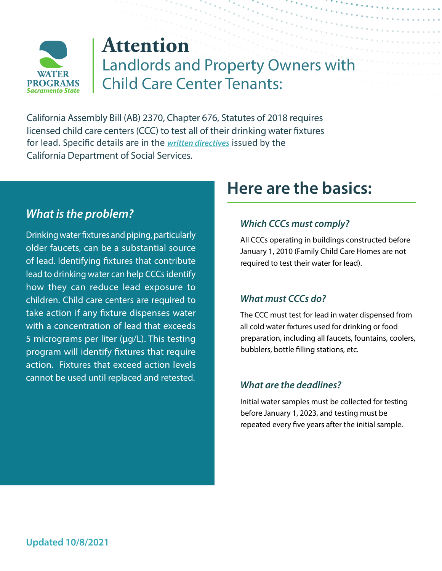

# **Attention** Landlords and Property Owners with Child Care Center Tenants:

California Assembly Bill (AB) 2370, Chapter 676, Statutes of 2018 requires licensed child care centers (CCC) to test all of their drinking water fixtures for lead. Specific details are in the *[written directives](https://www.cdss.ca.gov/Portals/9/CCLD/PINs/2021/CCP/PIN-21-21-CCP.pdf)* issued by the California Department of Social Services.

## *What is the problem?*

Drinking water fixtures and piping, particularly older faucets, can be a substantial source of lead. Identifying fixtures that contribute lead to drinking water can help CCCs identify how they can reduce lead exposure to children. Child care centers are required to take action if any fixture dispenses water with a concentration of lead that exceeds 5 micrograms per liter (µg/L). This testing program will identify fixtures that require action. Fixtures that exceed action levels cannot be used until replaced and retested.

## **Here are the basics:**

#### *Which CCCs must comply?*

All CCCs operating in buildings constructed before January 1, 2010 (Family Child Care Homes are not required to test their water for lead).

#### *What must CCCs do?*

The CCC must test for lead in water dispensed from all cold water fixtures used for drinking or food preparation, including all faucets, fountains, coolers, bubblers, bottle filling stations, etc.

#### *What are the deadlines?*

Initial water samples must be collected for testing before January 1, 2023, and testing must be repeated every five years after the initial sample.